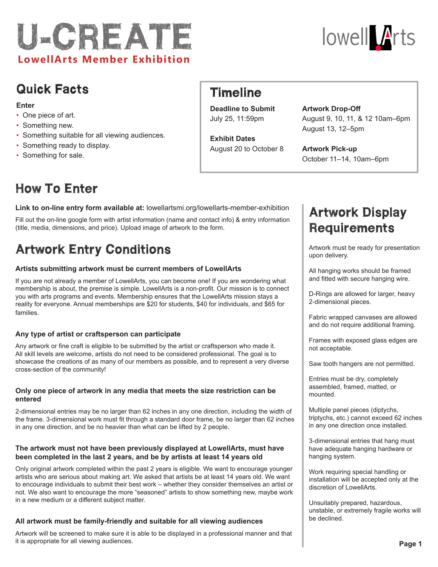



### Quick Facts

#### **Enter**

- One piece of art.
- Something new.
- Something suitable for all viewing audiences.
- Something ready to display.
- Something for sale.

### Timeline

**Deadline to Submit** July 25, 11:59pm

**Exhibit Dates** August 20 to October 8

#### **Artwork Drop-Off**

August 9, 10, 11, & 12 10am–6pm August 13, 12–5pm

**Artwork Pick-up** October 11–14, 10am–6pm

# How To Enter

**Link to on-line entry form available at:** lowellartsmi.org/lowellarts-member-exhibition

Fill out the on-line google form with artist information (name and contact info) & entry information (title, media, dimensions, and price). Upload image of artwork to the form.

# Artwork Entry Conditions

#### **Artists submitting artwork must be current members of LowellArts**

If you are not already a member of LowellArts, you can become one! If you are wondering what membership is about, the premise is simple. LowellArts is a non-profit. Our mission is to connect you with arts programs and events. Membership ensures that the LowellArts mission stays a reality for everyone. Annual memberships are \$20 for students, \$40 for individuals, and \$65 for families.

#### **Any type of artist or craftsperson can participate**

Any artwork or fine craft is eligible to be submitted by the artist or craftsperson who made it. All skill levels are welcome, artists do not need to be considered professional. The goal is to showcase the creations of as many of our members as possible, and to represent a very diverse cross-section of the community!

### **Only one piece of artwork in any media that meets the size restriction can be entered**

2-dimensional entries may be no larger than 62 inches in any one direction, including the width of the frame. 3-dimensional work must fit through a standard door frame, be no larger than 62 inches in any one direction, and be no heavier than what can be lifted by 2 people.

#### **The artwork must not have been previously displayed at LowellArts, must have been completed in the last 2 years, and be by artists at least 14 years old**

Only original artwork completed within the past 2 years is eligible. We want to encourage younger artists who are serious about making art. We asked that artists be at least 14 years old. We want to encourage individuals to submit their best work – whether they consider themselves an artist or not. We also want to encourage the more "seasoned" artists to show something new, maybe work in a new medium or a different subject matter.

#### **All artwork must be family-friendly and suitable for all viewing audiences**

Artwork will be screened to make sure it is able to be displayed in a professional manner and that it is appropriate for all viewing audiences.

## Artwork Display Requirements

Artwork must be ready for presentation upon delivery.

All hanging works should be framed and fitted with secure hanging wire.

D-Rings are allowed for larger, heavy 2-dimensional pieces.

Fabric wrapped canvases are allowed and do not require additional framing.

Frames with exposed glass edges are not acceptable.

Saw tooth hangers are not permitted.

Entries must be dry, completely assembled, framed, matted, or mounted.

Multiple panel pieces (diptychs, triptychs, etc.) cannot exceed 62 inches in any one direction once installed.

3-dimensional entries that hang must have adequate hanging hardware or hanging system.

Work requiring special handling or installation will be accepted only at the discretion of LowellArts.

Unsuitably prepared, hazardous, unstable, or extremely fragile works will be declined.